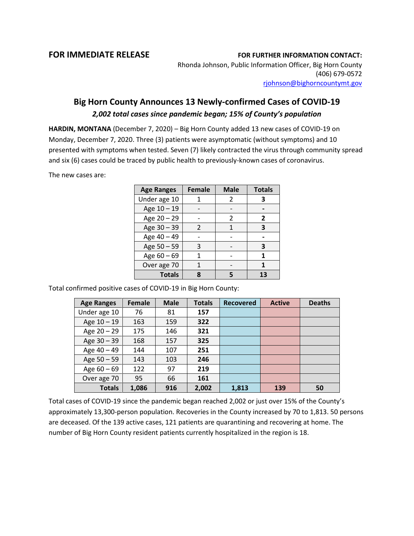## **FOR IMMEDIATE RELEASE FOR FURTHER INFORMATION CONTACT:**

Rhonda Johnson, Public Information Officer, Big Horn County (406) 679-0572 [rjohnson@bighorncountymt.gov](mailto:rjohnson@bighorncountymt.gov)

## **Big Horn County Announces 13 Newly-confirmed Cases of COVID-19** *2,002 total cases since pandemic began; 15% of County's population*

**HARDIN, MONTANA** (December 7, 2020) – Big Horn County added 13 new cases of COVID-19 on Monday, December 7, 2020. Three (3) patients were asymptomatic (without symptoms) and 10 presented with symptoms when tested. Seven (7) likely contracted the virus through community spread and six (6) cases could be traced by public health to previously-known cases of coronavirus.

The new cases are:

| <b>Age Ranges</b> | <b>Female</b> | <b>Male</b>    | <b>Totals</b> |
|-------------------|---------------|----------------|---------------|
| Under age 10      |               | 2              | 3             |
| Age 10 - 19       |               |                |               |
| Age 20 - 29       |               | $\mathfrak{p}$ | 2             |
| Age 30 - 39       | $\mathcal{P}$ | 1              | 3             |
| Age 40 - 49       |               |                |               |
| Age 50 - 59       | 3             |                | З             |
| Age 60 - 69       |               |                | 1             |
| Over age 70       |               |                |               |
| <b>Totals</b>     |               |                | 13            |

Total confirmed positive cases of COVID-19 in Big Horn County:

| <b>Age Ranges</b> | Female | <b>Male</b> | <b>Totals</b> | <b>Recovered</b> | <b>Active</b> | <b>Deaths</b> |
|-------------------|--------|-------------|---------------|------------------|---------------|---------------|
| Under age 10      | 76     | 81          | 157           |                  |               |               |
| Age $10 - 19$     | 163    | 159         | 322           |                  |               |               |
| Age $20 - 29$     | 175    | 146         | 321           |                  |               |               |
| Age 30 - 39       | 168    | 157         | 325           |                  |               |               |
| Age 40 - 49       | 144    | 107         | 251           |                  |               |               |
| Age $50 - 59$     | 143    | 103         | 246           |                  |               |               |
| Age $60 - 69$     | 122    | 97          | 219           |                  |               |               |
| Over age 70       | 95     | 66          | 161           |                  |               |               |
| <b>Totals</b>     | 1,086  | 916         | 2,002         | 1,813            | 139           | 50            |

Total cases of COVID-19 since the pandemic began reached 2,002 or just over 15% of the County's approximately 13,300-person population. Recoveries in the County increased by 70 to 1,813. 50 persons are deceased. Of the 139 active cases, 121 patients are quarantining and recovering at home. The number of Big Horn County resident patients currently hospitalized in the region is 18.